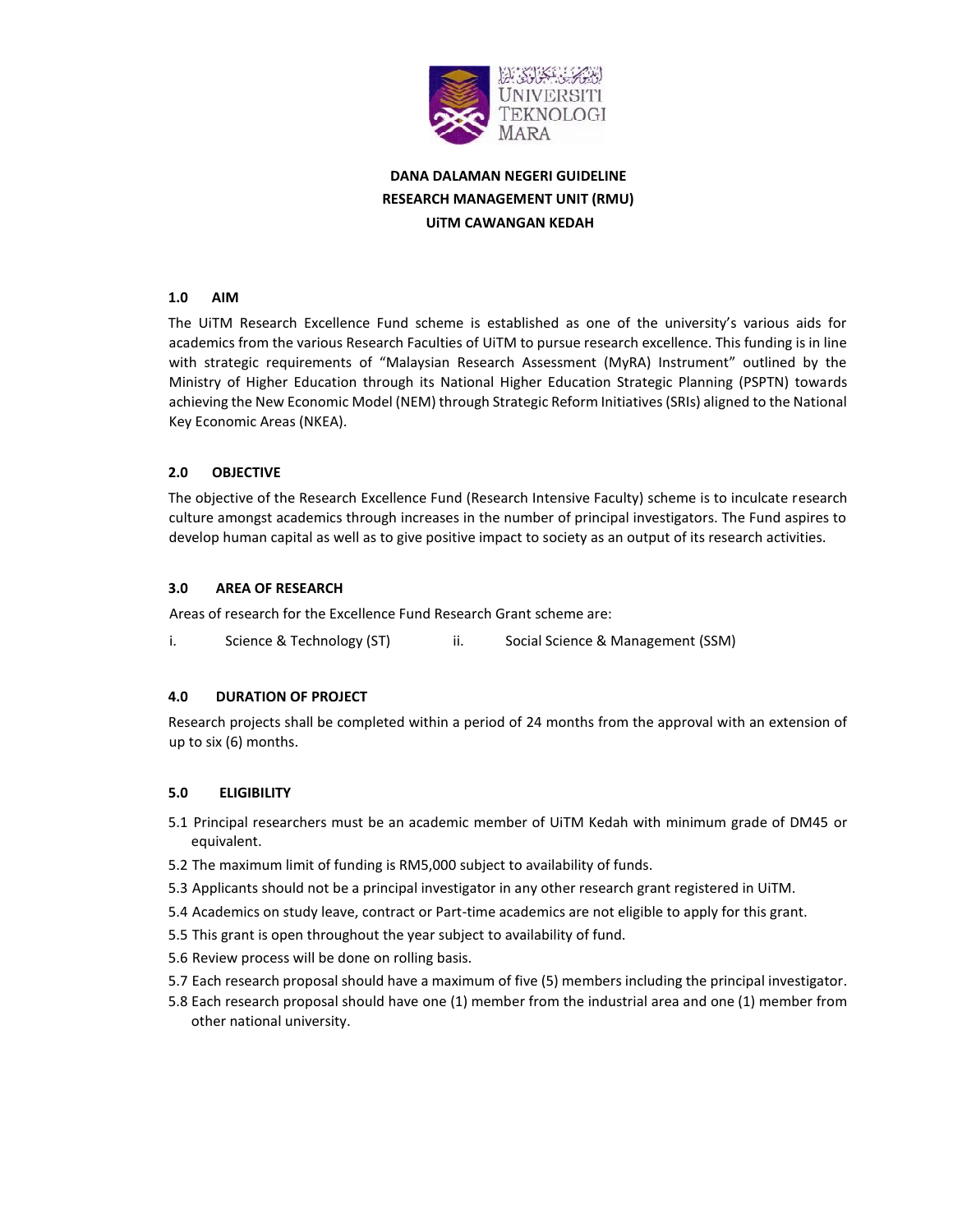

# **DANA DALAMAN NEGERI GUIDELINE RESEARCH MANAGEMENT UNIT (RMU) UiTM CAWANGAN KEDAH**

## **1.0 AIM**

The UiTM Research Excellence Fund scheme is established as one of the university's various aids for academics from the various Research Faculties of UiTM to pursue research excellence. This funding is in line with strategic requirements of "Malaysian Research Assessment (MyRA) Instrument" outlined by the Ministry of Higher Education through its National Higher Education Strategic Planning (PSPTN) towards achieving the New Economic Model (NEM) through Strategic Reform Initiatives (SRIs) aligned to the National Key Economic Areas (NKEA).

# **2.0 OBJECTIVE**

The objective of the Research Excellence Fund (Research Intensive Faculty) scheme is to inculcate research culture amongst academics through increases in the number of principal investigators. The Fund aspires to develop human capital as well as to give positive impact to society as an output of its research activities.

# **3.0 AREA OF RESEARCH**

Areas of research for the Excellence Fund Research Grant scheme are:

i. Science & Technology (ST) ii. Social Science & Management (SSM)

# **4.0 DURATION OF PROJECT**

Research projects shall be completed within a period of 24 months from the approval with an extension of up to six (6) months.

# **5.0 ELIGIBILITY**

- 5.1 Principal researchers must be an academic member of UiTM Kedah with minimum grade of DM45 or equivalent.
- 5.2 The maximum limit of funding is RM5,000 subject to availability of funds.
- 5.3 Applicants should not be a principal investigator in any other research grant registered in UiTM.
- 5.4 Academics on study leave, contract or Part-time academics are not eligible to apply for this grant.
- 5.5 This grant is open throughout the year subject to availability of fund.
- 5.6 Review process will be done on rolling basis.
- 5.7 Each research proposal should have a maximum of five (5) members including the principal investigator.
- 5.8 Each research proposal should have one (1) member from the industrial area and one (1) member from other national university.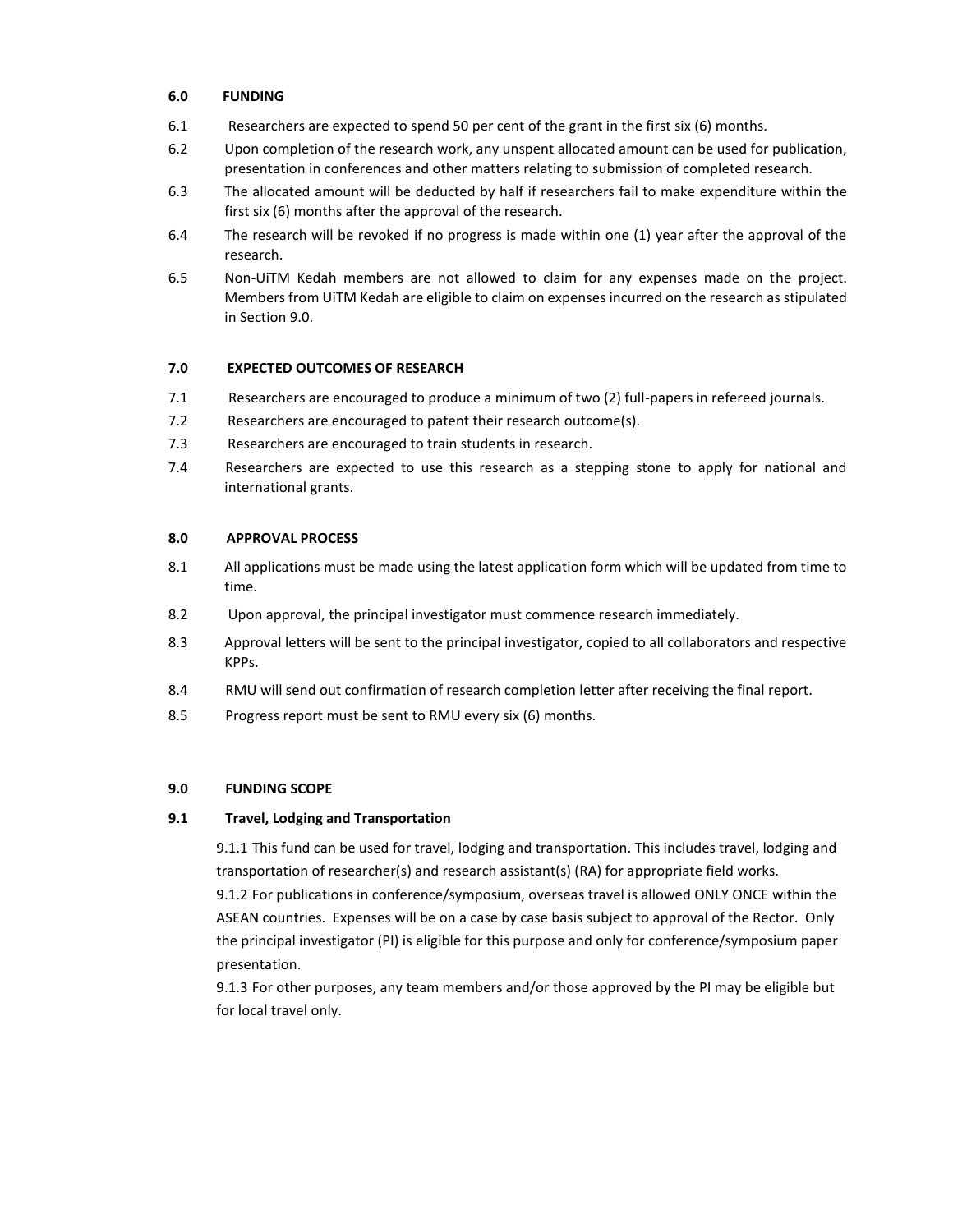# **6.0 FUNDING**

- 6.1 Researchers are expected to spend 50 per cent of the grant in the first six (6) months.
- 6.2 Upon completion of the research work, any unspent allocated amount can be used for publication, presentation in conferences and other matters relating to submission of completed research.
- 6.3 The allocated amount will be deducted by half if researchers fail to make expenditure within the first six (6) months after the approval of the research.
- 6.4 The research will be revoked if no progress is made within one (1) year after the approval of the research.
- 6.5 Non-UiTM Kedah members are not allowed to claim for any expenses made on the project. Members from UiTM Kedah are eligible to claim on expenses incurred on the research as stipulated in Section 9.0.

## **7.0 EXPECTED OUTCOMES OF RESEARCH**

- 7.1 Researchers are encouraged to produce a minimum of two (2) full-papers in refereed journals.
- 7.2 Researchers are encouraged to patent their research outcome(s).
- 7.3 Researchers are encouraged to train students in research.
- 7.4 Researchers are expected to use this research as a stepping stone to apply for national and international grants.

#### **8.0 APPROVAL PROCESS**

- 8.1 All applications must be made using the latest application form which will be updated from time to time.
- 8.2 Upon approval, the principal investigator must commence research immediately.
- 8.3 Approval letters will be sent to the principal investigator, copied to all collaborators and respective KPPs.
- 8.4 RMU will send out confirmation of research completion letter after receiving the final report.
- 8.5 Progress report must be sent to RMU every six (6) months.

### **9.0 FUNDING SCOPE**

#### **9.1 Travel, Lodging and Transportation**

9.1.1 This fund can be used for travel, lodging and transportation. This includes travel, lodging and transportation of researcher(s) and research assistant(s) (RA) for appropriate field works.

9.1.2 For publications in conference/symposium, overseas travel is allowed ONLY ONCE within the ASEAN countries. Expenses will be on a case by case basis subject to approval of the Rector. Only the principal investigator (PI) is eligible for this purpose and only for conference/symposium paper presentation.

9.1.3 For other purposes, any team members and/or those approved by the PI may be eligible but for local travel only.